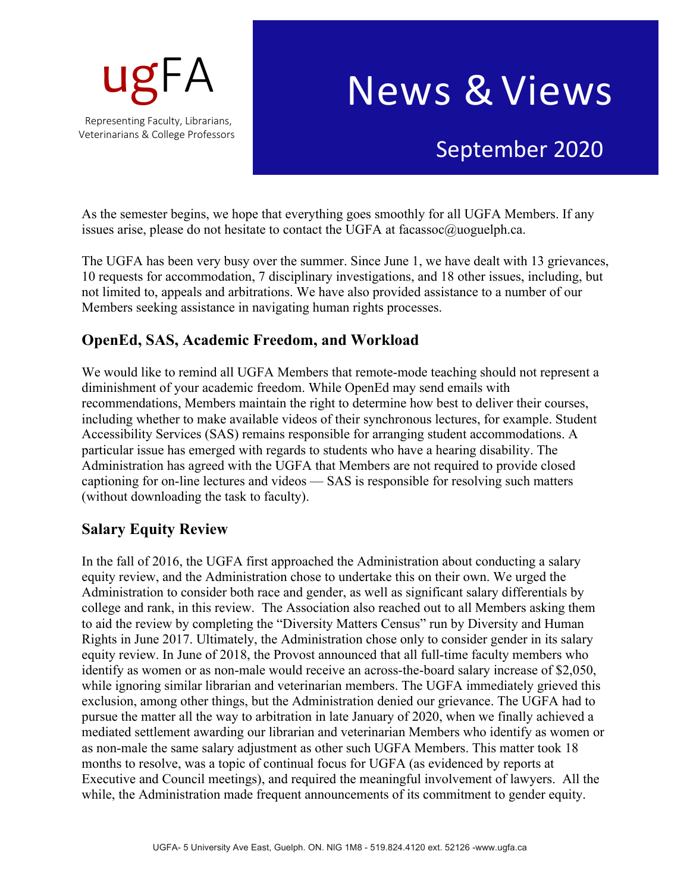

## News &Views

## September 2020

As the semester begins, we hope that everything goes smoothly for all UGFA Members. If any issues arise, please do not hesitate to contact the UGFA at facassoc@uoguelph.ca.

The UGFA has been very busy over the summer. Since June 1, we have dealt with 13 grievances, 10 requests for accommodation, 7 disciplinary investigations, and 18 other issues, including, but not limited to, appeals and arbitrations. We have also provided assistance to a number of our Members seeking assistance in navigating human rights processes.

## **OpenEd, SAS, Academic Freedom, and Workload**

We would like to remind all UGFA Members that remote-mode teaching should not represent a diminishment of your academic freedom. While OpenEd may send emails with recommendations, Members maintain the right to determine how best to deliver their courses, including whether to make available videos of their synchronous lectures, for example. Student Accessibility Services (SAS) remains responsible for arranging student accommodations. A particular issue has emerged with regards to students who have a hearing disability. The Administration has agreed with the UGFA that Members are not required to provide closed captioning for on-line lectures and videos — SAS is responsible for resolving such matters (without downloading the task to faculty).

## **Salary Equity Review**

In the fall of 2016, the UGFA first approached the Administration about conducting a salary equity review, and the Administration chose to undertake this on their own. We urged the Administration to consider both race and gender, as well as significant salary differentials by college and rank, in this review. The Association also reached out to all Members asking them to aid the review by completing the "Diversity Matters Census" run by Diversity and Human Rights in June 2017. Ultimately, the Administration chose only to consider gender in its salary equity review. In June of 2018, the Provost announced that all full-time faculty members who identify as women or as non-male would receive an across-the-board salary increase of \$2,050, while ignoring similar librarian and veterinarian members. The UGFA immediately grieved this exclusion, among other things, but the Administration denied our grievance. The UGFA had to pursue the matter all the way to arbitration in late January of 2020, when we finally achieved a mediated settlement awarding our librarian and veterinarian Members who identify as women or as non-male the same salary adjustment as other such UGFA Members. This matter took 18 months to resolve, was a topic of continual focus for UGFA (as evidenced by reports at Executive and Council meetings), and required the meaningful involvement of lawyers. All the while, the Administration made frequent announcements of its commitment to gender equity.